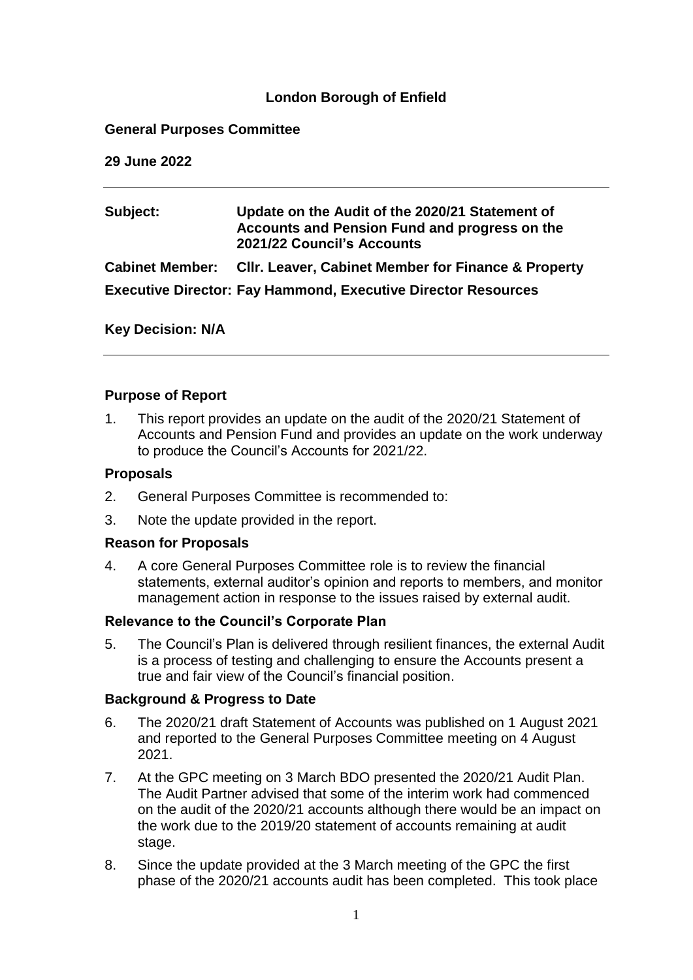# **London Borough of Enfield**

# **General Purposes Committee**

**29 June 2022**

| Subject:                                                             | Update on the Audit of the 2020/21 Statement of<br>Accounts and Pension Fund and progress on the<br>2021/22 Council's Accounts |
|----------------------------------------------------------------------|--------------------------------------------------------------------------------------------------------------------------------|
|                                                                      | Cabinet Member: Cllr. Leaver, Cabinet Member for Finance & Property                                                            |
| <b>Executive Director: Fay Hammond, Executive Director Resources</b> |                                                                                                                                |

**Key Decision: N/A** 

#### **Purpose of Report**

1. This report provides an update on the audit of the 2020/21 Statement of Accounts and Pension Fund and provides an update on the work underway to produce the Council's Accounts for 2021/22.

#### **Proposals**

- 2. General Purposes Committee is recommended to:
- 3. Note the update provided in the report.

#### **Reason for Proposals**

4. A core General Purposes Committee role is to review the financial statements, external auditor's opinion and reports to members, and monitor management action in response to the issues raised by external audit.

#### **Relevance to the Council's Corporate Plan**

5. The Council's Plan is delivered through resilient finances, the external Audit is a process of testing and challenging to ensure the Accounts present a true and fair view of the Council's financial position.

# **Background & Progress to Date**

- 6. The 2020/21 draft Statement of Accounts was published on 1 August 2021 and reported to the General Purposes Committee meeting on 4 August 2021.
- 7. At the GPC meeting on 3 March BDO presented the 2020/21 Audit Plan. The Audit Partner advised that some of the interim work had commenced on the audit of the 2020/21 accounts although there would be an impact on the work due to the 2019/20 statement of accounts remaining at audit stage.
- 8. Since the update provided at the 3 March meeting of the GPC the first phase of the 2020/21 accounts audit has been completed. This took place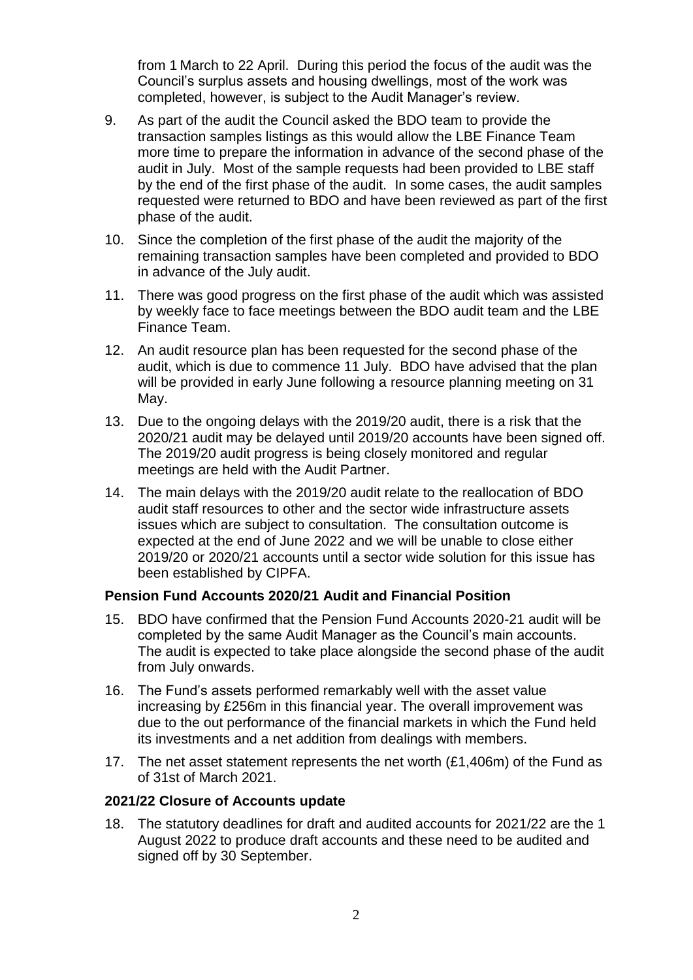from 1 March to 22 April. During this period the focus of the audit was the Council's surplus assets and housing dwellings, most of the work was completed, however, is subject to the Audit Manager's review.

- 9. As part of the audit the Council asked the BDO team to provide the transaction samples listings as this would allow the LBE Finance Team more time to prepare the information in advance of the second phase of the audit in July. Most of the sample requests had been provided to LBE staff by the end of the first phase of the audit. In some cases, the audit samples requested were returned to BDO and have been reviewed as part of the first phase of the audit.
- 10. Since the completion of the first phase of the audit the majority of the remaining transaction samples have been completed and provided to BDO in advance of the July audit.
- 11. There was good progress on the first phase of the audit which was assisted by weekly face to face meetings between the BDO audit team and the LBE Finance Team.
- 12. An audit resource plan has been requested for the second phase of the audit, which is due to commence 11 July. BDO have advised that the plan will be provided in early June following a resource planning meeting on 31 May.
- 13. Due to the ongoing delays with the 2019/20 audit, there is a risk that the 2020/21 audit may be delayed until 2019/20 accounts have been signed off. The 2019/20 audit progress is being closely monitored and regular meetings are held with the Audit Partner.
- 14. The main delays with the 2019/20 audit relate to the reallocation of BDO audit staff resources to other and the sector wide infrastructure assets issues which are subject to consultation. The consultation outcome is expected at the end of June 2022 and we will be unable to close either 2019/20 or 2020/21 accounts until a sector wide solution for this issue has been established by CIPFA.

# **Pension Fund Accounts 2020/21 Audit and Financial Position**

- 15. BDO have confirmed that the Pension Fund Accounts 2020-21 audit will be completed by the same Audit Manager as the Council's main accounts. The audit is expected to take place alongside the second phase of the audit from July onwards.
- 16. The Fund's assets performed remarkably well with the asset value increasing by £256m in this financial year. The overall improvement was due to the out performance of the financial markets in which the Fund held its investments and a net addition from dealings with members.
- 17. The net asset statement represents the net worth (£1,406m) of the Fund as of 31st of March 2021.

#### **2021/22 Closure of Accounts update**

18. The statutory deadlines for draft and audited accounts for 2021/22 are the 1 August 2022 to produce draft accounts and these need to be audited and signed off by 30 September.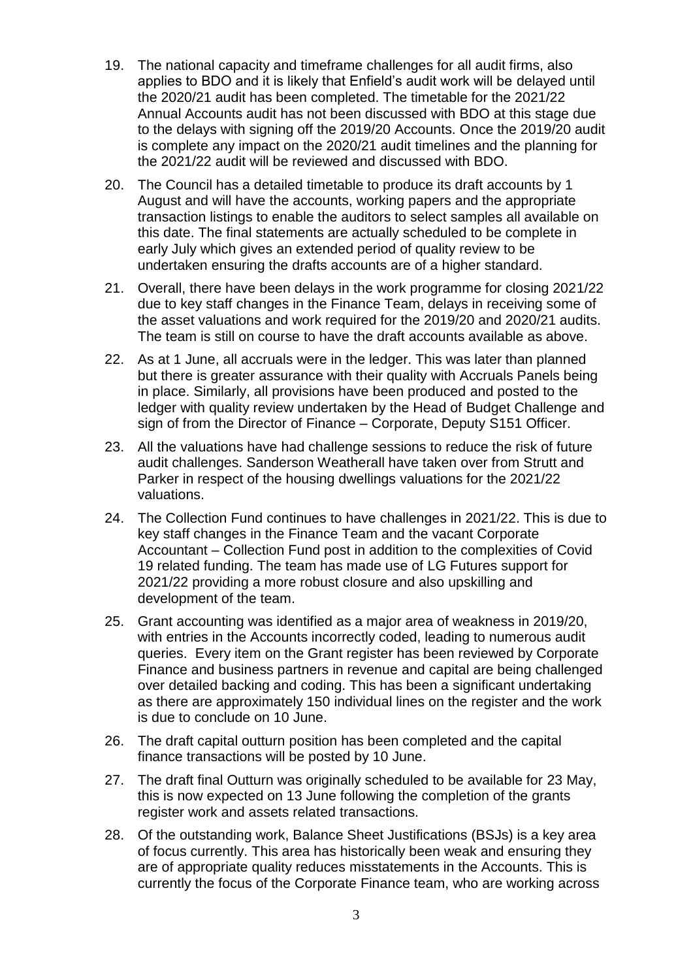- 19. The national capacity and timeframe challenges for all audit firms, also applies to BDO and it is likely that Enfield's audit work will be delayed until the 2020/21 audit has been completed. The timetable for the 2021/22 Annual Accounts audit has not been discussed with BDO at this stage due to the delays with signing off the 2019/20 Accounts. Once the 2019/20 audit is complete any impact on the 2020/21 audit timelines and the planning for the 2021/22 audit will be reviewed and discussed with BDO.
- 20. The Council has a detailed timetable to produce its draft accounts by 1 August and will have the accounts, working papers and the appropriate transaction listings to enable the auditors to select samples all available on this date. The final statements are actually scheduled to be complete in early July which gives an extended period of quality review to be undertaken ensuring the drafts accounts are of a higher standard.
- 21. Overall, there have been delays in the work programme for closing 2021/22 due to key staff changes in the Finance Team, delays in receiving some of the asset valuations and work required for the 2019/20 and 2020/21 audits. The team is still on course to have the draft accounts available as above.
- 22. As at 1 June, all accruals were in the ledger. This was later than planned but there is greater assurance with their quality with Accruals Panels being in place. Similarly, all provisions have been produced and posted to the ledger with quality review undertaken by the Head of Budget Challenge and sign of from the Director of Finance – Corporate, Deputy S151 Officer.
- 23. All the valuations have had challenge sessions to reduce the risk of future audit challenges. Sanderson Weatherall have taken over from Strutt and Parker in respect of the housing dwellings valuations for the 2021/22 valuations.
- 24. The Collection Fund continues to have challenges in 2021/22. This is due to key staff changes in the Finance Team and the vacant Corporate Accountant – Collection Fund post in addition to the complexities of Covid 19 related funding. The team has made use of LG Futures support for 2021/22 providing a more robust closure and also upskilling and development of the team.
- 25. Grant accounting was identified as a major area of weakness in 2019/20, with entries in the Accounts incorrectly coded, leading to numerous audit queries. Every item on the Grant register has been reviewed by Corporate Finance and business partners in revenue and capital are being challenged over detailed backing and coding. This has been a significant undertaking as there are approximately 150 individual lines on the register and the work is due to conclude on 10 June.
- 26. The draft capital outturn position has been completed and the capital finance transactions will be posted by 10 June.
- 27. The draft final Outturn was originally scheduled to be available for 23 May, this is now expected on 13 June following the completion of the grants register work and assets related transactions.
- 28. Of the outstanding work, Balance Sheet Justifications (BSJs) is a key area of focus currently. This area has historically been weak and ensuring they are of appropriate quality reduces misstatements in the Accounts. This is currently the focus of the Corporate Finance team, who are working across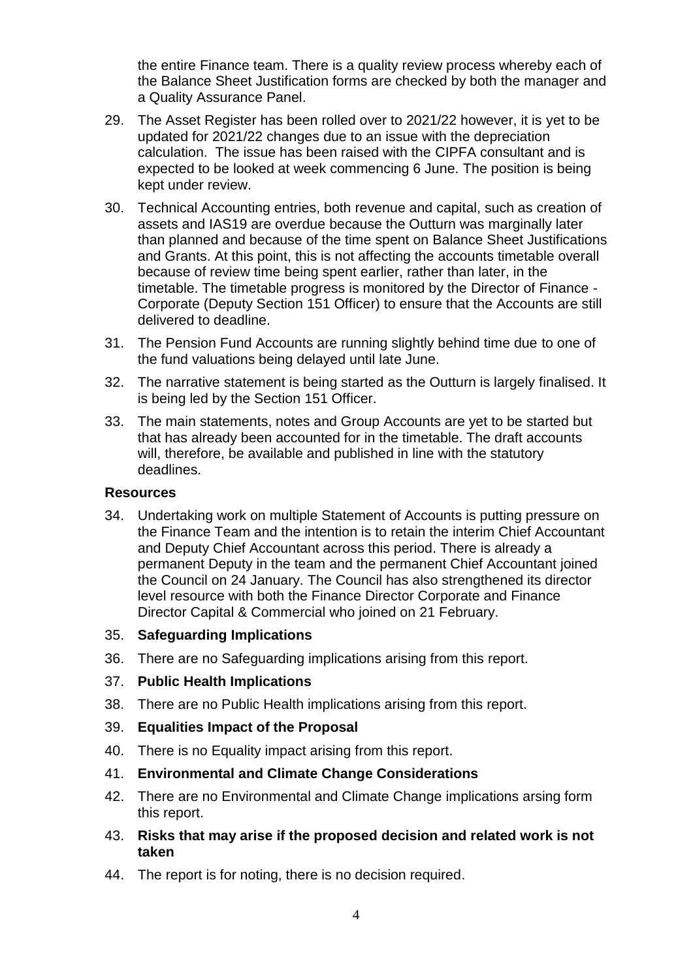the entire Finance team. There is a quality review process whereby each of the Balance Sheet Justification forms are checked by both the manager and a Quality Assurance Panel.

- 29. The Asset Register has been rolled over to 2021/22 however, it is yet to be updated for 2021/22 changes due to an issue with the depreciation calculation. The issue has been raised with the CIPFA consultant and is expected to be looked at week commencing 6 June. The position is being kept under review.
- 30. Technical Accounting entries, both revenue and capital, such as creation of assets and IAS19 are overdue because the Outturn was marginally later than planned and because of the time spent on Balance Sheet Justifications and Grants. At this point, this is not affecting the accounts timetable overall because of review time being spent earlier, rather than later, in the timetable. The timetable progress is monitored by the Director of Finance - Corporate (Deputy Section 151 Officer) to ensure that the Accounts are still delivered to deadline.
- 31. The Pension Fund Accounts are running slightly behind time due to one of the fund valuations being delayed until late June.
- 32. The narrative statement is being started as the Outturn is largely finalised. It is being led by the Section 151 Officer.
- 33. The main statements, notes and Group Accounts are yet to be started but that has already been accounted for in the timetable. The draft accounts will, therefore, be available and published in line with the statutory deadlines.

#### **Resources**

- 34. Undertaking work on multiple Statement of Accounts is putting pressure on the Finance Team and the intention is to retain the interim Chief Accountant and Deputy Chief Accountant across this period. There is already a permanent Deputy in the team and the permanent Chief Accountant joined the Council on 24 January. The Council has also strengthened its director level resource with both the Finance Director Corporate and Finance Director Capital & Commercial who joined on 21 February.
- 35. **Safeguarding Implications**
- 36. There are no Safeguarding implications arising from this report.
- 37. **Public Health Implications**
- 38. There are no Public Health implications arising from this report.
- 39. **Equalities Impact of the Proposal**
- 40. There is no Equality impact arising from this report.
- 41. **Environmental and Climate Change Considerations**
- 42. There are no Environmental and Climate Change implications arsing form this report.
- 43. **Risks that may arise if the proposed decision and related work is not taken**
- 44. The report is for noting, there is no decision required.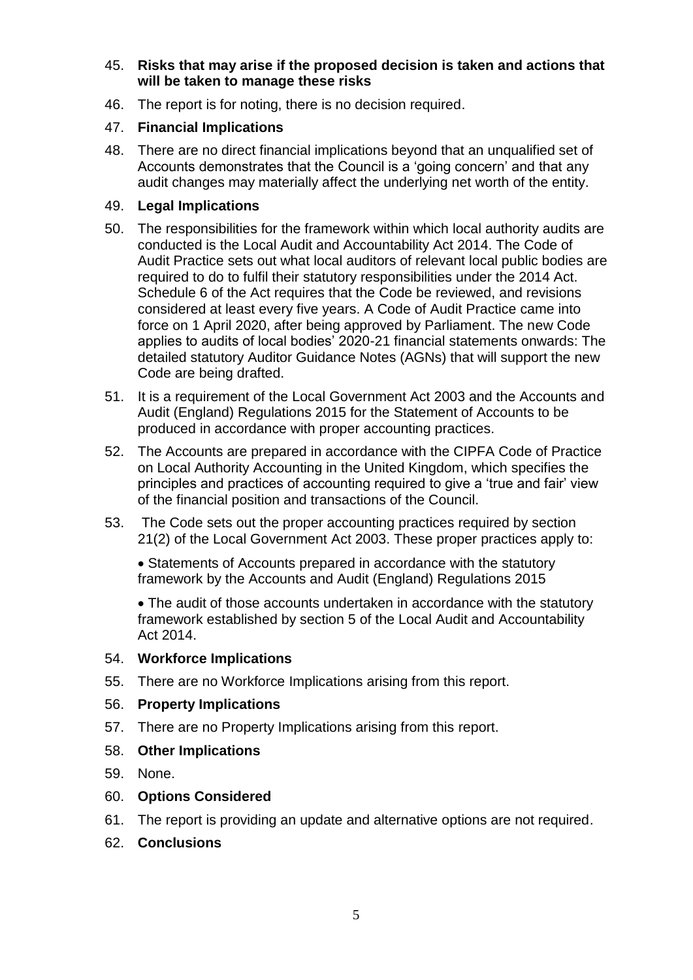# 45. **Risks that may arise if the proposed decision is taken and actions that will be taken to manage these risks**

46. The report is for noting, there is no decision required.

# 47. **Financial Implications**

48. There are no direct financial implications beyond that an unqualified set of Accounts demonstrates that the Council is a 'going concern' and that any audit changes may materially affect the underlying net worth of the entity.

# 49. **Legal Implications**

- 50. The responsibilities for the framework within which local authority audits are conducted is the Local Audit and Accountability Act 2014. The Code of Audit Practice sets out what local auditors of relevant local public bodies are required to do to fulfil their statutory responsibilities under the 2014 Act. Schedule 6 of the Act requires that the Code be reviewed, and revisions considered at least every five years. A Code of Audit Practice came into force on 1 April 2020, after being approved by Parliament. The new Code applies to audits of local bodies' 2020-21 financial statements onwards: The detailed statutory Auditor Guidance Notes (AGNs) that will support the new Code are being drafted.
- 51. It is a requirement of the Local Government Act 2003 and the Accounts and Audit (England) Regulations 2015 for the Statement of Accounts to be produced in accordance with proper accounting practices.
- 52. The Accounts are prepared in accordance with the CIPFA Code of Practice on Local Authority Accounting in the United Kingdom, which specifies the principles and practices of accounting required to give a 'true and fair' view of the financial position and transactions of the Council.
- 53. The Code sets out the proper accounting practices required by section 21(2) of the Local Government Act 2003. These proper practices apply to:

• Statements of Accounts prepared in accordance with the statutory framework by the Accounts and Audit (England) Regulations 2015

• The audit of those accounts undertaken in accordance with the statutory framework established by section 5 of the Local Audit and Accountability Act 2014.

# 54. **Workforce Implications**

55. There are no Workforce Implications arising from this report.

# 56. **Property Implications**

57. There are no Property Implications arising from this report.

# 58. **Other Implications**

59. None.

# 60. **Options Considered**

- 61. The report is providing an update and alternative options are not required.
- 62. **Conclusions**